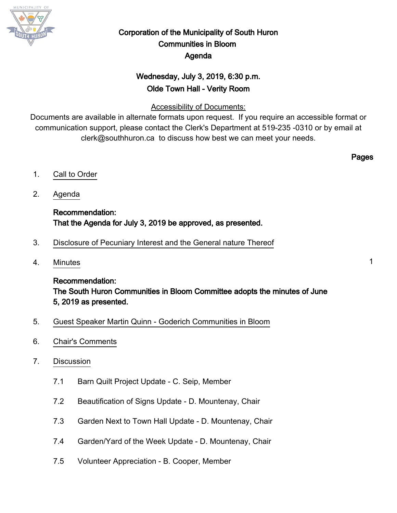

# Corporation of the Municipality of South Huron Communities in Bloom Agenda

# Wednesday, July 3, 2019, 6:30 p.m. Olde Town Hall - Verity Room

# Accessibility of Documents:

Documents are available in alternate formats upon request. If you require an accessible format or communication support, please contact the Clerk's Department at 519-235 -0310 or by email at clerk@southhuron.ca to discuss how best we can meet your needs.

Pages

- 1. Call to Order
- 2. Agenda

# Recommendation: That the Agenda for July 3, 2019 be approved, as presented.

- 3. Disclosure of Pecuniary Interest and the General nature Thereof
- 4. Minutes 1

Recommendation: The South Huron Communities in Bloom Committee adopts the minutes of June 5, 2019 as presented.

- 5. Guest Speaker Martin Quinn Goderich Communities in Bloom
- 6. Chair's Comments
- 7. Discussion
	- 7.1 Barn Quilt Project Update C. Seip, Member
	- 7.2 Beautification of Signs Update D. Mountenay, Chair
	- 7.3 Garden Next to Town Hall Update D. Mountenay, Chair
	- 7.4 Garden/Yard of the Week Update D. Mountenay, Chair
	- 7.5 Volunteer Appreciation B. Cooper, Member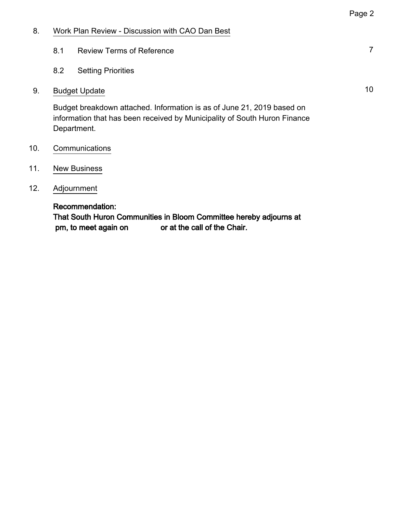### 8. Work Plan Review - Discussion with CAO Dan Best

- 8.1 Review Terms of Reference 7
- 8.2 Setting Priorities

## 9. Budget Update 10 and 10 and 10 and 10 and 10 and 10 and 10 and 10 and 10 and 10 and 10 and 10 and 10 and 10

Budget breakdown attached. Information is as of June 21, 2019 based on information that has been received by Municipality of South Huron Finance Department.

- 10. Communications
- 11. New Business
- 12. Adjournment

### Recommendation:

That South Huron Communities in Bloom Committee hereby adjourns at pm, to meet again on or at the call of the Chair.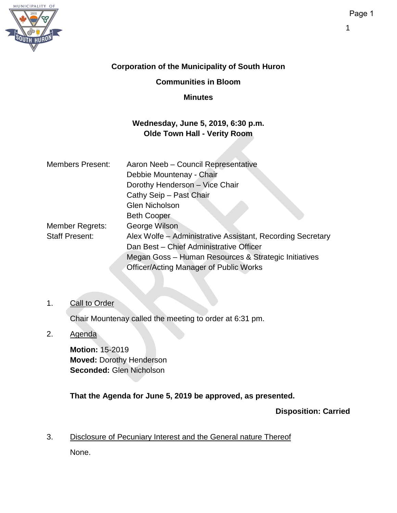

## **Corporation of the Municipality of South Huron**

## **Communities in Bloom**

### **Minutes**

## **Wednesday, June 5, 2019, 6:30 p.m. Olde Town Hall - Verity Room**

| <b>Members Present:</b> | Aaron Neeb - Council Representative                        |  |  |  |
|-------------------------|------------------------------------------------------------|--|--|--|
|                         | Debbie Mountenay - Chair                                   |  |  |  |
|                         | Dorothy Henderson - Vice Chair                             |  |  |  |
|                         | Cathy Seip - Past Chair                                    |  |  |  |
|                         | <b>Glen Nicholson</b>                                      |  |  |  |
|                         | <b>Beth Cooper</b>                                         |  |  |  |
| Member Regrets:         | George Wilson                                              |  |  |  |
| <b>Staff Present:</b>   | Alex Wolfe - Administrative Assistant, Recording Secretary |  |  |  |
|                         | Dan Best - Chief Administrative Officer                    |  |  |  |
|                         | Megan Goss - Human Resources & Strategic Initiatives       |  |  |  |
|                         | <b>Officer/Acting Manager of Public Works</b>              |  |  |  |

### 1. Call to Order

Chair Mountenay called the meeting to order at 6:31 pm.

## 2. Agenda

**Motion:** 15-2019 **Moved:** Dorothy Henderson **Seconded:** Glen Nicholson

**That the Agenda for June 5, 2019 be approved, as presented.**

**Disposition: Carried**

3. Disclosure of Pecuniary Interest and the General nature Thereof

None.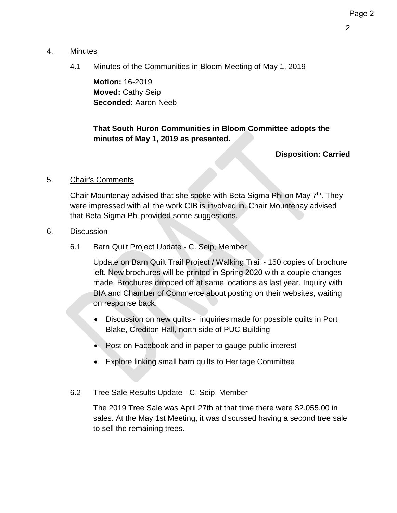### 4. Minutes

4.1 Minutes of the Communities in Bloom Meeting of May 1, 2019

**Motion:** 16-2019 **Moved:** Cathy Seip **Seconded:** Aaron Neeb

**That South Huron Communities in Bloom Committee adopts the minutes of May 1, 2019 as presented.**

### **Disposition: Carried**

### 5. Chair's Comments

Chair Mountenay advised that she spoke with Beta Sigma Phi on May 7<sup>th</sup>. They were impressed with all the work CIB is involved in. Chair Mountenay advised that Beta Sigma Phi provided some suggestions.

### 6. Discussion

6.1 Barn Quilt Project Update - C. Seip, Member

Update on Barn Quilt Trail Project / Walking Trail - 150 copies of brochure left. New brochures will be printed in Spring 2020 with a couple changes made. Brochures dropped off at same locations as last year. Inquiry with BIA and Chamber of Commerce about posting on their websites, waiting on response back.

- Discussion on new quilts inquiries made for possible quilts in Port Blake, Crediton Hall, north side of PUC Building
- Post on Facebook and in paper to gauge public interest
- Explore linking small barn quilts to Heritage Committee
- 6.2 Tree Sale Results Update C. Seip, Member

The 2019 Tree Sale was April 27th at that time there were \$2,055.00 in sales. At the May 1st Meeting, it was discussed having a second tree sale to sell the remaining trees.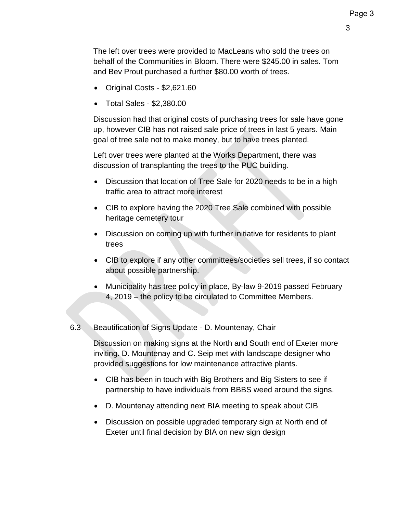The left over trees were provided to MacLeans who sold the trees on behalf of the Communities in Bloom. There were \$245.00 in sales. Tom and Bev Prout purchased a further \$80.00 worth of trees.

- Original Costs \$2,621.60
- Total Sales \$2,380.00

Discussion had that original costs of purchasing trees for sale have gone up, however CIB has not raised sale price of trees in last 5 years. Main goal of tree sale not to make money, but to have trees planted.

Left over trees were planted at the Works Department, there was discussion of transplanting the trees to the PUC building.

- Discussion that location of Tree Sale for 2020 needs to be in a high traffic area to attract more interest
- CIB to explore having the 2020 Tree Sale combined with possible heritage cemetery tour
- Discussion on coming up with further initiative for residents to plant trees
- CIB to explore if any other committees/societies sell trees, if so contact about possible partnership.
- Municipality has tree policy in place, By-law 9-2019 passed February 4, 2019 – the policy to be circulated to Committee Members.

## 6.3 Beautification of Signs Update - D. Mountenay, Chair

Discussion on making signs at the North and South end of Exeter more inviting. D. Mountenay and C. Seip met with landscape designer who provided suggestions for low maintenance attractive plants.

- CIB has been in touch with Big Brothers and Big Sisters to see if partnership to have individuals from BBBS weed around the signs.
- D. Mountenay attending next BIA meeting to speak about CIB
- Discussion on possible upgraded temporary sign at North end of Exeter until final decision by BIA on new sign design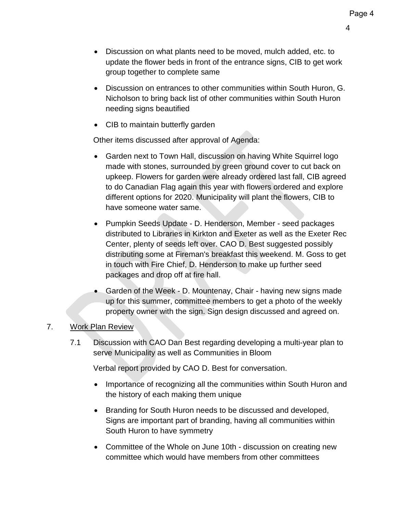4

- Discussion on what plants need to be moved, mulch added, etc. to update the flower beds in front of the entrance signs, CIB to get work group together to complete same
- Discussion on entrances to other communities within South Huron, G. Nicholson to bring back list of other communities within South Huron needing signs beautified
- CIB to maintain butterfly garden

Other items discussed after approval of Agenda:

- Garden next to Town Hall, discussion on having White Squirrel logo made with stones, surrounded by green ground cover to cut back on upkeep. Flowers for garden were already ordered last fall, CIB agreed to do Canadian Flag again this year with flowers ordered and explore different options for 2020. Municipality will plant the flowers, CIB to have someone water same.
- Pumpkin Seeds Update D. Henderson, Member seed packages distributed to Libraries in Kirkton and Exeter as well as the Exeter Rec Center, plenty of seeds left over. CAO D. Best suggested possibly distributing some at Fireman's breakfast this weekend. M. Goss to get in touch with Fire Chief, D. Henderson to make up further seed packages and drop off at fire hall.
- Garden of the Week D. Mountenay, Chair having new signs made up for this summer, committee members to get a photo of the weekly property owner with the sign. Sign design discussed and agreed on.

# 7. Work Plan Review

7.1 Discussion with CAO Dan Best regarding developing a multi-year plan to serve Municipality as well as Communities in Bloom

Verbal report provided by CAO D. Best for conversation.

- Importance of recognizing all the communities within South Huron and the history of each making them unique
- Branding for South Huron needs to be discussed and developed, Signs are important part of branding, having all communities within South Huron to have symmetry
- Committee of the Whole on June 10th discussion on creating new committee which would have members from other committees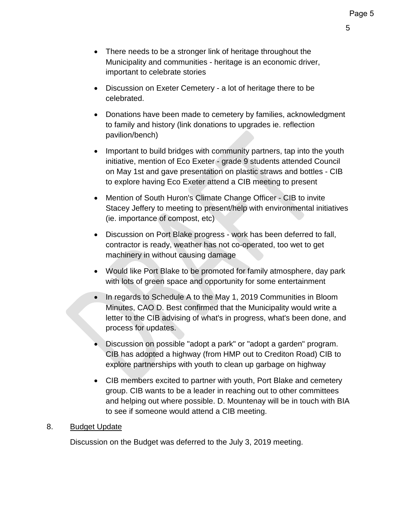5

- There needs to be a stronger link of heritage throughout the Municipality and communities - heritage is an economic driver, important to celebrate stories
- Discussion on Exeter Cemetery a lot of heritage there to be celebrated.
- Donations have been made to cemetery by families, acknowledgment to family and history (link donations to upgrades ie. reflection pavilion/bench)
- Important to build bridges with community partners, tap into the youth initiative, mention of Eco Exeter - grade 9 students attended Council on May 1st and gave presentation on plastic straws and bottles - CIB to explore having Eco Exeter attend a CIB meeting to present
- Mention of South Huron's Climate Change Officer CIB to invite Stacey Jeffery to meeting to present/help with environmental initiatives (ie. importance of compost, etc)
- Discussion on Port Blake progress work has been deferred to fall, contractor is ready, weather has not co-operated, too wet to get machinery in without causing damage
- Would like Port Blake to be promoted for family atmosphere, day park with lots of green space and opportunity for some entertainment
- In regards to Schedule A to the May 1, 2019 Communities in Bloom Minutes, CAO D. Best confirmed that the Municipality would write a letter to the CIB advising of what's in progress, what's been done, and process for updates.
- Discussion on possible "adopt a park" or "adopt a garden" program. CIB has adopted a highway (from HMP out to Crediton Road) CIB to explore partnerships with youth to clean up garbage on highway
- CIB members excited to partner with youth, Port Blake and cemetery group. CIB wants to be a leader in reaching out to other committees and helping out where possible. D. Mountenay will be in touch with BIA to see if someone would attend a CIB meeting.

## 8. Budget Update

Discussion on the Budget was deferred to the July 3, 2019 meeting.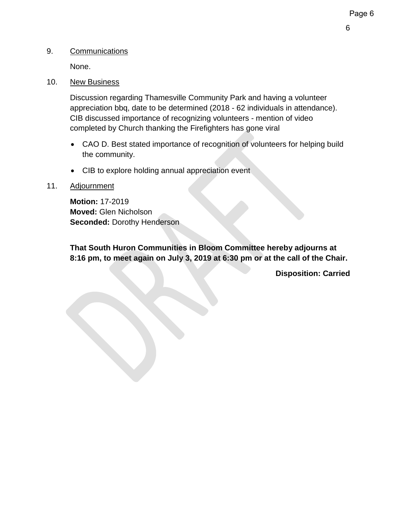## 9. Communications

None.

## 10. New Business

Discussion regarding Thamesville Community Park and having a volunteer appreciation bbq, date to be determined (2018 - 62 individuals in attendance). CIB discussed importance of recognizing volunteers - mention of video completed by Church thanking the Firefighters has gone viral

- CAO D. Best stated importance of recognition of volunteers for helping build the community.
- CIB to explore holding annual appreciation event

## 11. Adjournment

**Motion:** 17-2019 **Moved:** Glen Nicholson **Seconded:** Dorothy Henderson

**That South Huron Communities in Bloom Committee hereby adjourns at 8:16 pm, to meet again on July 3, 2019 at 6:30 pm or at the call of the Chair.**

**Disposition: Carried**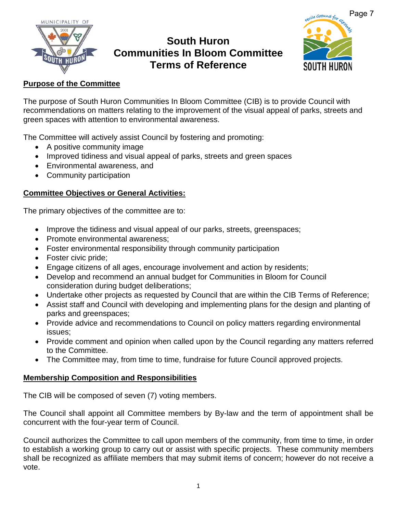

# **South Huron Communities In Bloom Committee Terms of Reference**



## **Purpose of the Committee**

The purpose of South Huron Communities In Bloom Committee (CIB) is to provide Council with recommendations on matters relating to the improvement of the visual appeal of parks, streets and green spaces with attention to environmental awareness.

The Committee will actively assist Council by fostering and promoting:

- A positive community image
- Improved tidiness and visual appeal of parks, streets and green spaces
- Environmental awareness, and
- Community participation

## **Committee Objectives or General Activities:**

The primary objectives of the committee are to:

- Improve the tidiness and visual appeal of our parks, streets, greenspaces;
- Promote environmental awareness;
- Foster environmental responsibility through community participation
- Foster civic pride;
- Engage citizens of all ages, encourage involvement and action by residents;
- Develop and recommend an annual budget for Communities in Bloom for Council consideration during budget deliberations;
- Undertake other projects as requested by Council that are within the CIB Terms of Reference;
- Assist staff and Council with developing and implementing plans for the design and planting of parks and greenspaces;
- Provide advice and recommendations to Council on policy matters regarding environmental issues;
- Provide comment and opinion when called upon by the Council regarding any matters referred to the Committee.
- The Committee may, from time to time, fundraise for future Council approved projects.

## **Membership Composition and Responsibilities**

The CIB will be composed of seven (7) voting members.

The Council shall appoint all Committee members by By-law and the term of appointment shall be concurrent with the four-year term of Council.

Council authorizes the Committee to call upon members of the community, from time to time, in order to establish a working group to carry out or assist with specific projects. These community members shall be recognized as affiliate members that may submit items of concern; however do not receive a vote.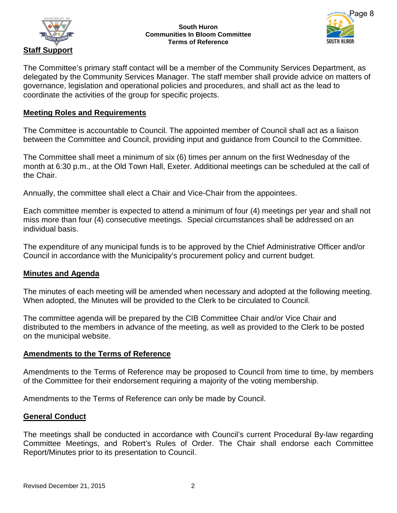



The Committee's primary staff contact will be a member of the Community Services Department, as delegated by the Community Services Manager. The staff member shall provide advice on matters of governance, legislation and operational policies and procedures, and shall act as the lead to coordinate the activities of the group for specific projects.

### **Meeting Roles and Requirements**

The Committee is accountable to Council. The appointed member of Council shall act as a liaison between the Committee and Council, providing input and guidance from Council to the Committee.

The Committee shall meet a minimum of six (6) times per annum on the first Wednesday of the month at 6:30 p.m., at the Old Town Hall, Exeter. Additional meetings can be scheduled at the call of the Chair.

Annually, the committee shall elect a Chair and Vice-Chair from the appointees.

Each committee member is expected to attend a minimum of four (4) meetings per year and shall not miss more than four (4) consecutive meetings. Special circumstances shall be addressed on an individual basis.

The expenditure of any municipal funds is to be approved by the Chief Administrative Officer and/or Council in accordance with the Municipality's procurement policy and current budget.

### **Minutes and Agenda**

The minutes of each meeting will be amended when necessary and adopted at the following meeting. When adopted, the Minutes will be provided to the Clerk to be circulated to Council.

The committee agenda will be prepared by the CIB Committee Chair and/or Vice Chair and distributed to the members in advance of the meeting, as well as provided to the Clerk to be posted on the municipal website.

### **Amendments to the Terms of Reference**

Amendments to the Terms of Reference may be proposed to Council from time to time, by members of the Committee for their endorsement requiring a majority of the voting membership.

Amendments to the Terms of Reference can only be made by Council.

### **General Conduct**

The meetings shall be conducted in accordance with Council's current Procedural By-law regarding Committee Meetings, and Robert's Rules of Order. The Chair shall endorse each Committee Report/Minutes prior to its presentation to Council.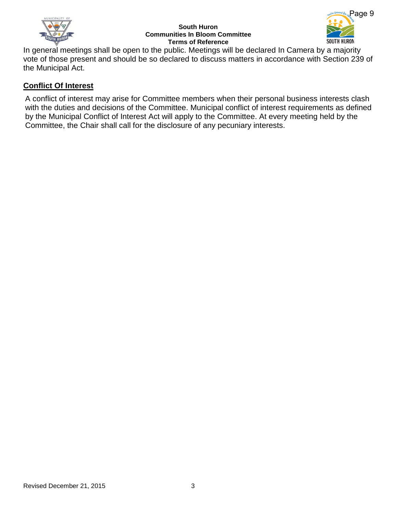

#### **South Huron Communities In Bloom Committee Terms of Reference**



In general meetings shall be open to the public. Meetings will be declared In Camera by a majority vote of those present and should be so declared to discuss matters in accordance with Section 239 of the Municipal Act.

### **Conflict Of Interest**

A conflict of interest may arise for Committee members when their personal business interests clash with the duties and decisions of the Committee. Municipal conflict of interest requirements as defined by the Municipal Conflict of Interest Act will apply to the Committee. At every meeting held by the Committee, the Chair shall call for the disclosure of any pecuniary interests.